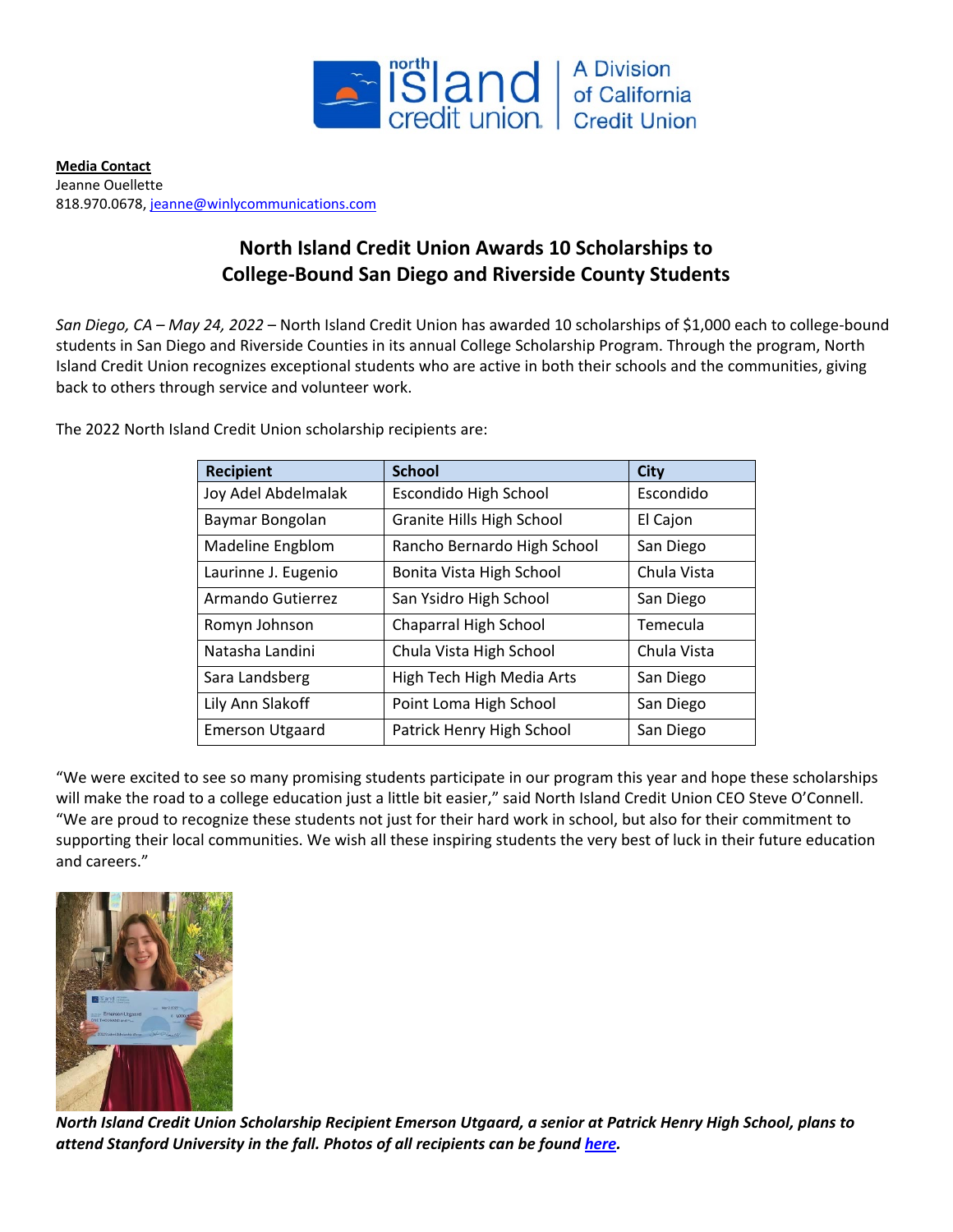

**Media Contact** Jeanne Ouellette 818.970.0678[, jeanne@winlycommunications.com](mailto:jeanne@winlycommunications.com)

## **North Island Credit Union Awards 10 Scholarships to College-Bound San Diego and Riverside County Students**

*San Diego, CA – May 24, 2022* – North Island Credit Union has awarded 10 scholarships of \$1,000 each to college-bound students in San Diego and Riverside Counties in its annual College Scholarship Program. Through the program, North Island Credit Union recognizes exceptional students who are active in both their schools and the communities, giving back to others through service and volunteer work.

| The 2022 North Island Credit Union scholarship recipients are: |  |
|----------------------------------------------------------------|--|
|----------------------------------------------------------------|--|

| <b>Recipient</b>       | <b>School</b>               | <b>City</b> |
|------------------------|-----------------------------|-------------|
| Joy Adel Abdelmalak    | Escondido High School       | Escondido   |
| Baymar Bongolan        | Granite Hills High School   | El Cajon    |
| Madeline Engblom       | Rancho Bernardo High School | San Diego   |
| Laurinne J. Eugenio    | Bonita Vista High School    | Chula Vista |
| Armando Gutierrez      | San Ysidro High School      | San Diego   |
| Romyn Johnson          | Chaparral High School       | Temecula    |
| Natasha Landini        | Chula Vista High School     | Chula Vista |
| Sara Landsberg         | High Tech High Media Arts   | San Diego   |
| Lily Ann Slakoff       | Point Loma High School      | San Diego   |
| <b>Emerson Utgaard</b> | Patrick Henry High School   | San Diego   |

"We were excited to see so many promising students participate in our program this year and hope these scholarships will make the road to a college education just a little bit easier," said North Island Credit Union CEO Steve O'Connell. "We are proud to recognize these students not just for their hard work in school, but also for their commitment to supporting their local communities. We wish all these inspiring students the very best of luck in their future education and careers."



*North Island Credit Union Scholarship Recipient Emerson Utgaard, a senior at Patrick Henry High School, plans to attend Stanford University in the fall. Photos of all recipients can be found [here.](https://drive.google.com/drive/folders/1annTCpBUrboXZbqfeS35RadXnRVPA84V)*